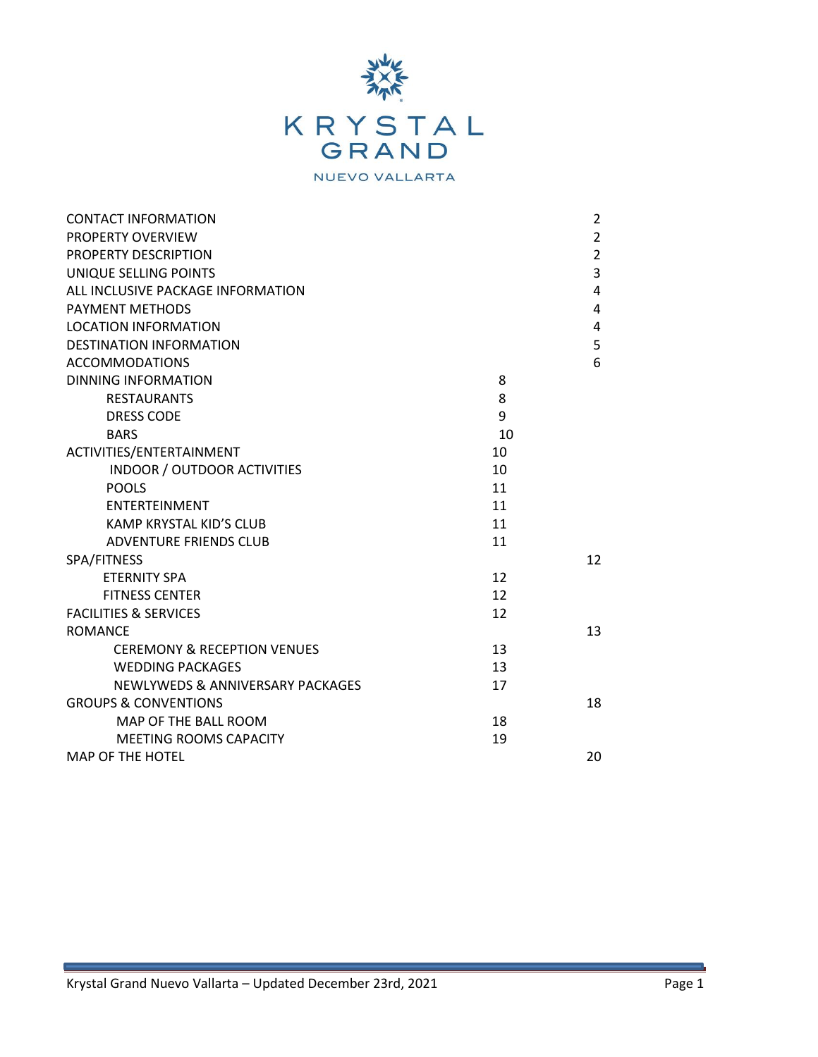

| <b>CONTACT INFORMATION</b>             |    | $\overline{2}$ |  |  |
|----------------------------------------|----|----------------|--|--|
| <b>PROPERTY OVERVIEW</b>               |    | $\overline{2}$ |  |  |
| <b>PROPERTY DESCRIPTION</b>            |    | $\overline{2}$ |  |  |
| UNIQUE SELLING POINTS                  |    | 3              |  |  |
| ALL INCLUSIVE PACKAGE INFORMATION      |    | 4              |  |  |
| <b>PAYMENT METHODS</b>                 |    | 4              |  |  |
| <b>LOCATION INFORMATION</b>            |    | 4              |  |  |
| <b>DESTINATION INFORMATION</b>         |    | 5              |  |  |
| <b>ACCOMMODATIONS</b>                  |    | 6              |  |  |
| <b>DINNING INFORMATION</b>             | 8  |                |  |  |
| <b>RESTAURANTS</b>                     | 8  |                |  |  |
| <b>DRESS CODE</b>                      | 9  |                |  |  |
| <b>BARS</b>                            | 10 |                |  |  |
| ACTIVITIES/ENTERTAINMENT               | 10 |                |  |  |
| <b>INDOOR / OUTDOOR ACTIVITIES</b>     | 10 |                |  |  |
| <b>POOLS</b>                           | 11 |                |  |  |
| <b>ENTERTEINMENT</b>                   | 11 |                |  |  |
| <b>KAMP KRYSTAL KID'S CLUB</b>         | 11 |                |  |  |
| ADVENTURE FRIENDS CLUB                 | 11 |                |  |  |
| SPA/FITNESS                            |    |                |  |  |
| <b>ETERNITY SPA</b>                    | 12 |                |  |  |
| <b>FITNESS CENTER</b>                  | 12 |                |  |  |
| <b>FACILITIES &amp; SERVICES</b>       | 12 |                |  |  |
| <b>ROMANCE</b>                         |    | 13             |  |  |
| <b>CEREMONY &amp; RECEPTION VENUES</b> | 13 |                |  |  |
| <b>WEDDING PACKAGES</b>                | 13 |                |  |  |
| NEWLYWEDS & ANNIVERSARY PACKAGES       | 17 |                |  |  |
| <b>GROUPS &amp; CONVENTIONS</b>        |    | 18             |  |  |
| MAP OF THE BALL ROOM                   | 18 |                |  |  |
| <b>MEETING ROOMS CAPACITY</b>          | 19 |                |  |  |
| <b>MAP OF THE HOTEL</b>                |    | 20             |  |  |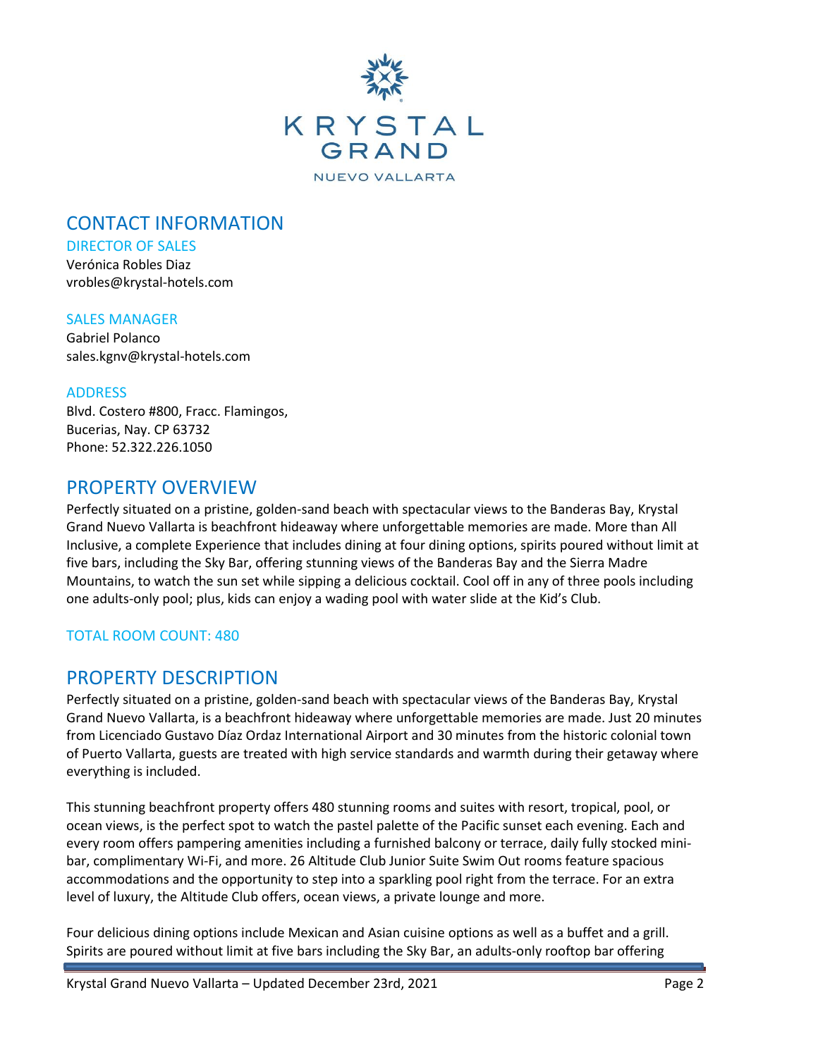

# CONTACT INFORMATION

### DIRECTOR OF SALES

Verónica Robles Diaz vrobles@krystal-hotels.com

### SALES MANAGER

Gabriel Polanco sales.kgnv@krystal-hotels.com

## **ADDRESS**

Blvd. Costero #800, Fracc. Flamingos, Bucerias, Nay. CP 63732 Phone: 52.322.226.1050

# PROPERTY OVERVIEW

Perfectly situated on a pristine, golden-sand beach with spectacular views to the Banderas Bay, Krystal Grand Nuevo Vallarta is beachfront hideaway where unforgettable memories are made. More than All Inclusive, a complete Experience that includes dining at four dining options, spirits poured without limit at five bars, including the Sky Bar, offering stunning views of the Banderas Bay and the Sierra Madre Mountains, to watch the sun set while sipping a delicious cocktail. Cool off in any of three pools including one adults-only pool; plus, kids can enjoy a wading pool with water slide at the Kid's Club.

# TOTAL ROOM COUNT: 480

# PROPERTY DESCRIPTION

Perfectly situated on a pristine, golden-sand beach with spectacular views of the Banderas Bay, Krystal Grand Nuevo Vallarta, is a beachfront hideaway where unforgettable memories are made. Just 20 minutes from Licenciado Gustavo Díaz Ordaz International Airport and 30 minutes from the historic colonial town of Puerto Vallarta, guests are treated with high service standards and warmth during their getaway where everything is included.

This stunning beachfront property offers 480 stunning rooms and suites with resort, tropical, pool, or ocean views, is the perfect spot to watch the pastel palette of the Pacific sunset each evening. Each and every room offers pampering amenities including a furnished balcony or terrace, daily fully stocked minibar, complimentary Wi-Fi, and more. 26 Altitude Club Junior Suite Swim Out rooms feature spacious accommodations and the opportunity to step into a sparkling pool right from the terrace. For an extra level of luxury, the Altitude Club offers, ocean views, a private lounge and more.

Four delicious dining options include Mexican and Asian cuisine options as well as a buffet and a grill. Spirits are poured without limit at five bars including the Sky Bar, an adults-only rooftop bar offering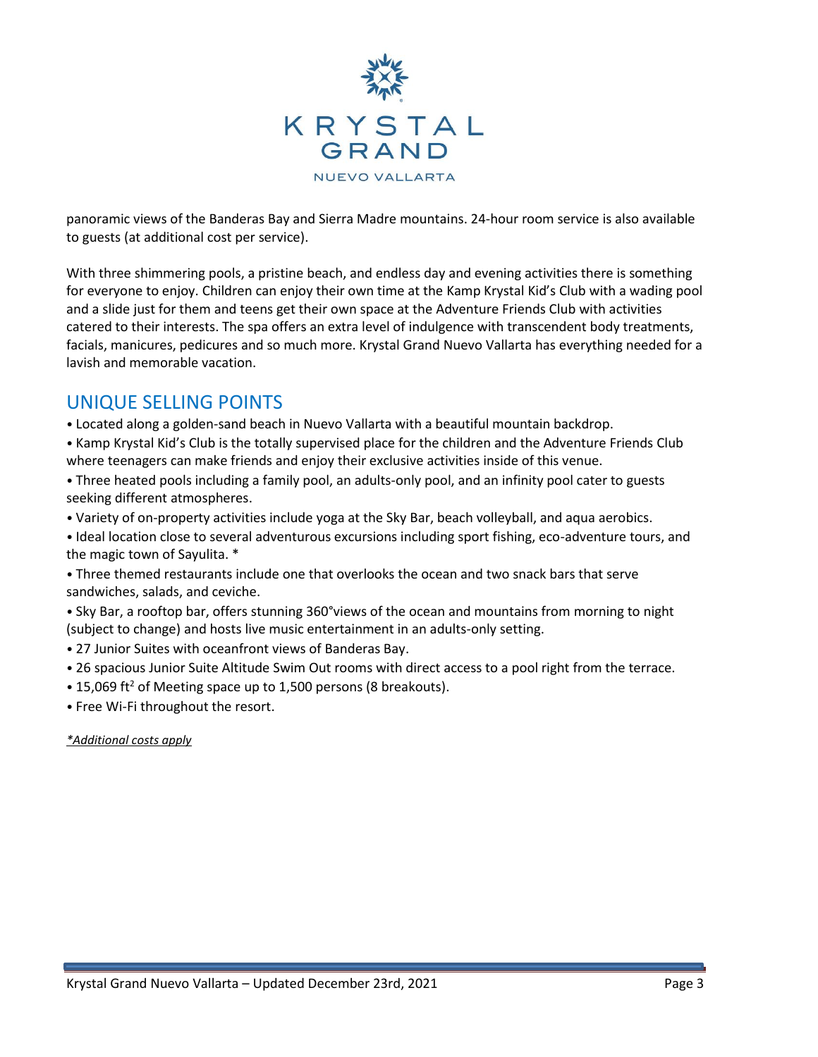

panoramic views of the Banderas Bay and Sierra Madre mountains. 24-hour room service is also available to guests (at additional cost per service).

With three shimmering pools, a pristine beach, and endless day and evening activities there is something for everyone to enjoy. Children can enjoy their own time at the Kamp Krystal Kid's Club with a wading pool and a slide just for them and teens get their own space at the Adventure Friends Club with activities catered to their interests. The spa offers an extra level of indulgence with transcendent body treatments, facials, manicures, pedicures and so much more. Krystal Grand Nuevo Vallarta has everything needed for a lavish and memorable vacation.

# UNIQUE SELLING POINTS

• Located along a golden-sand beach in Nuevo Vallarta with a beautiful mountain backdrop.

• Kamp Krystal Kid's Club is the totally supervised place for the children and the Adventure Friends Club where teenagers can make friends and enjoy their exclusive activities inside of this venue.

- Three heated pools including a family pool, an adults-only pool, and an infinity pool cater to guests seeking different atmospheres.
- Variety of on-property activities include yoga at the Sky Bar, beach volleyball, and aqua aerobics.
- Ideal location close to several adventurous excursions including sport fishing, eco-adventure tours, and the magic town of Sayulita. \*

• Three themed restaurants include one that overlooks the ocean and two snack bars that serve sandwiches, salads, and ceviche.

• Sky Bar, a rooftop bar, offers stunning 360°views of the ocean and mountains from morning to night (subject to change) and hosts live music entertainment in an adults-only setting.

- 27 Junior Suites with oceanfront views of Banderas Bay.
- 26 spacious Junior Suite Altitude Swim Out rooms with direct access to a pool right from the terrace.
- 15,069 ft<sup>2</sup> of Meeting space up to 1,500 persons (8 breakouts).
- Free Wi-Fi throughout the resort.

### *\*Additional costs apply*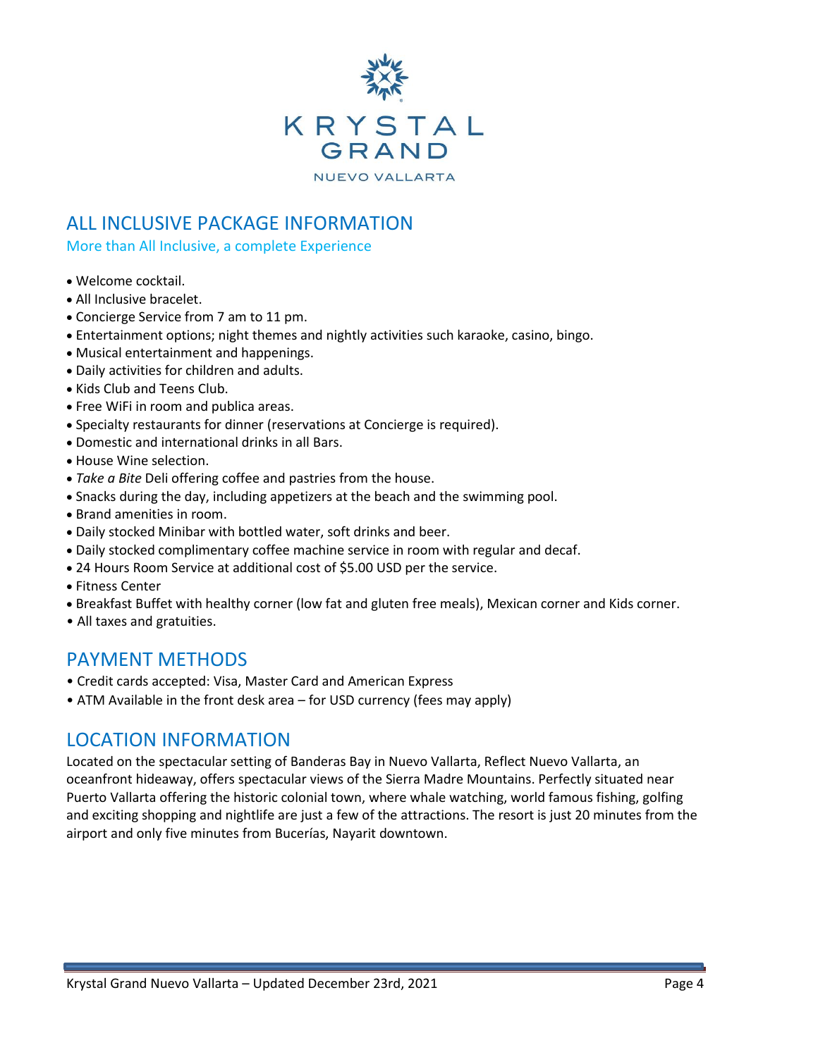

# ALL INCLUSIVE PACKAGE INFORMATION

More than All Inclusive, a complete Experience

- Welcome cocktail.
- All Inclusive bracelet.
- Concierge Service from 7 am to 11 pm.
- Entertainment options; night themes and nightly activities such karaoke, casino, bingo.
- Musical entertainment and happenings.
- Daily activities for children and adults.
- Kids Club and Teens Club.
- Free WiFi in room and publica areas.
- Specialty restaurants for dinner (reservations at Concierge is required).
- Domestic and international drinks in all Bars.
- House Wine selection.
- *Take a Bite* Deli offering coffee and pastries from the house.
- Snacks during the day, including appetizers at the beach and the swimming pool.
- Brand amenities in room.
- Daily stocked Minibar with bottled water, soft drinks and beer.
- Daily stocked complimentary coffee machine service in room with regular and decaf.
- 24 Hours Room Service at additional cost of \$5.00 USD per the service.
- Fitness Center
- Breakfast Buffet with healthy corner (low fat and gluten free meals), Mexican corner and Kids corner.
- All taxes and gratuities.

# PAYMENT METHODS

- Credit cards accepted: Visa, Master Card and American Express
- ATM Available in the front desk area for USD currency (fees may apply)

# LOCATION INFORMATION

Located on the spectacular setting of Banderas Bay in Nuevo Vallarta, Reflect Nuevo Vallarta, an oceanfront hideaway, offers spectacular views of the Sierra Madre Mountains. Perfectly situated near Puerto Vallarta offering the historic colonial town, where whale watching, world famous fishing, golfing and exciting shopping and nightlife are just a few of the attractions. The resort is just 20 minutes from the airport and only five minutes from Bucerías, Nayarit downtown.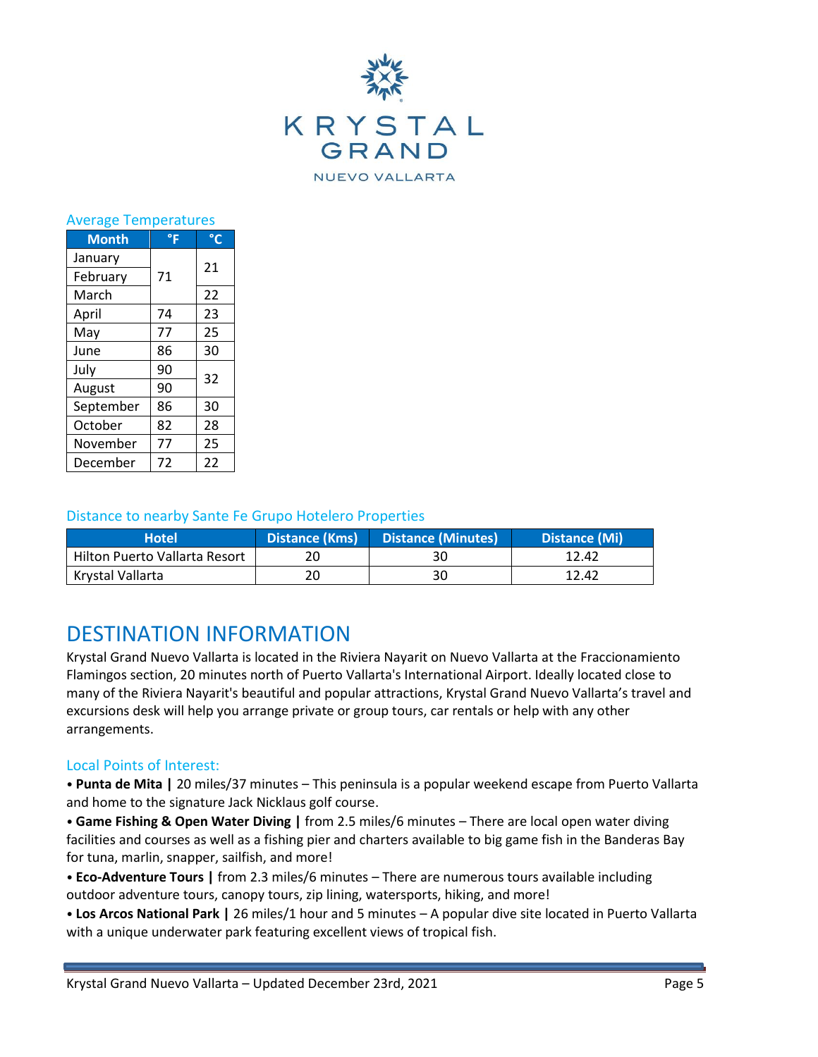

| <b>Average Temperatures</b> |    |    |  |  |
|-----------------------------|----|----|--|--|
| <b>Month</b>                | °F | °C |  |  |
| January                     |    | 21 |  |  |
| February                    | 71 |    |  |  |
| March                       |    | 22 |  |  |
| April                       | 74 | 23 |  |  |
| May                         | 77 | 25 |  |  |
| June                        | 86 | 30 |  |  |
| July                        | 90 | 32 |  |  |
| August                      | 90 |    |  |  |
| September                   | 86 | 30 |  |  |
| October                     | 82 | 28 |  |  |
| November                    | 77 | 25 |  |  |
| December                    | 72 | 22 |  |  |

# Distance to nearby Sante Fe Grupo Hotelero Properties

| <b>Hotel</b>                  | Distance (Kms) Distance (Minutes) | Distance (Mi) |
|-------------------------------|-----------------------------------|---------------|
| Hilton Puerto Vallarta Resort | 30                                | 12.42         |
| Krystal Vallarta              | 30                                | 12.42         |

# DESTINATION INFORMATION

Krystal Grand Nuevo Vallarta is located in the Riviera Nayarit on Nuevo Vallarta at the Fraccionamiento Flamingos section, 20 minutes north of Puerto Vallarta's International Airport. Ideally located close to many of the Riviera Nayarit's beautiful and popular attractions, Krystal Grand Nuevo Vallarta's travel and excursions desk will help you arrange private or group tours, car rentals or help with any other arrangements.

# Local Points of Interest:

• **Punta de Mita |** 20 miles/37 minutes – This peninsula is a popular weekend escape from Puerto Vallarta and home to the signature Jack Nicklaus golf course.

• **Game Fishing & Open Water Diving |** from 2.5 miles/6 minutes – There are local open water diving facilities and courses as well as a fishing pier and charters available to big game fish in the Banderas Bay for tuna, marlin, snapper, sailfish, and more!

• **Eco-Adventure Tours |** from 2.3 miles/6 minutes – There are numerous tours available including outdoor adventure tours, canopy tours, zip lining, watersports, hiking, and more!

• **Los Arcos National Park |** 26 miles/1 hour and 5 minutes – A popular dive site located in Puerto Vallarta with a unique underwater park featuring excellent views of tropical fish.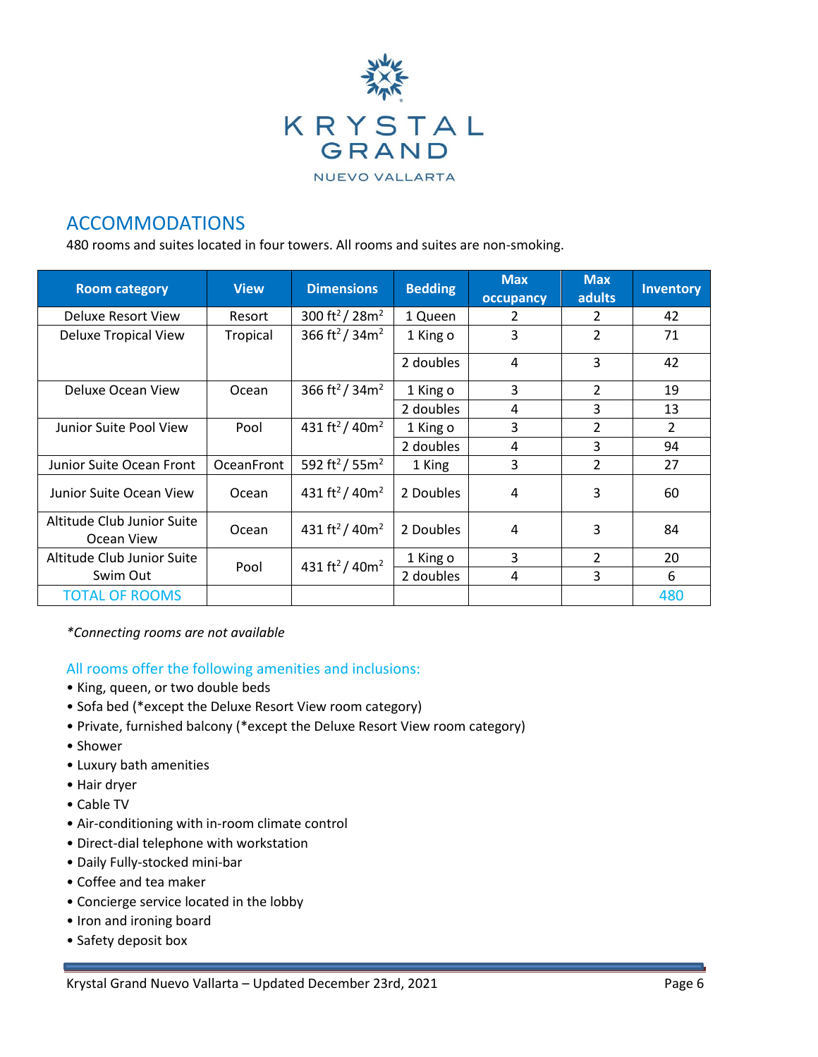

# ACCOMMODATIONS

480 rooms and suites located in four towers. All rooms and suites are non-smoking.

| <b>Room category</b>                     | <b>View</b>       | <b>Dimensions</b>                      | <b>Bedding</b> | <b>Max</b><br>occupancy | <b>Max</b><br>adults | <b>Inventory</b> |
|------------------------------------------|-------------------|----------------------------------------|----------------|-------------------------|----------------------|------------------|
| Deluxe Resort View                       | Resort            | 300 ft <sup>2</sup> / 28m <sup>2</sup> | 1 Queen        | 2                       | 2                    | 42               |
| Deluxe Tropical View                     | Tropical          | 366 ft <sup>2</sup> / 34m <sup>2</sup> | 1 King o       | 3                       | 2                    | 71               |
|                                          |                   |                                        | 2 doubles      | 4                       | 3                    | 42               |
| Deluxe Ocean View                        | Ocean             | 366 ft <sup>2</sup> / 34m <sup>2</sup> | 1 King o       | 3                       | $\overline{2}$       | 19               |
|                                          |                   |                                        | 2 doubles      | 4                       | 3                    | 13               |
| Junior Suite Pool View                   | Pool              | 431 ft <sup>2</sup> / 40m <sup>2</sup> | 1 King o       | 3                       | 2                    | $\overline{2}$   |
|                                          |                   |                                        | 2 doubles      | 4                       | 3                    | 94               |
| Junior Suite Ocean Front                 | <b>OceanFront</b> | 592 ft <sup>2</sup> /55m <sup>2</sup>  | 1 King         | 3                       | 2                    | 27               |
| Junior Suite Ocean View                  | Ocean             | 431 ft <sup>2</sup> /40m <sup>2</sup>  | 2 Doubles      | 4                       | 3                    | 60               |
| Altitude Club Junior Suite<br>Ocean View | Ocean             | 431 ft <sup>2</sup> / 40m <sup>2</sup> | 2 Doubles      | 4                       | 3                    | 84               |
| Altitude Club Junior Suite               |                   | 431 ft <sup>2</sup> / 40m <sup>2</sup> | 1 King o       | 3                       | $\overline{2}$       | 20               |
| Swim Out                                 | Pool              |                                        | 2 doubles      | 4                       | 3                    | 6                |
| <b>TOTAL OF ROOMS</b>                    |                   |                                        |                |                         |                      | 480              |

*\*Connecting rooms are not available* 

All rooms offer the following amenities and inclusions:

- King, queen, or two double beds
- Sofa bed (\*except the Deluxe Resort View room category)
- Private, furnished balcony (\*except the Deluxe Resort View room category)
- Shower
- Luxury bath amenities
- Hair dryer
- Cable TV
- Air-conditioning with in-room climate control
- Direct-dial telephone with workstation
- Daily Fully-stocked mini-bar
- Coffee and tea maker
- Concierge service located in the lobby
- Iron and ironing board
- Safety deposit box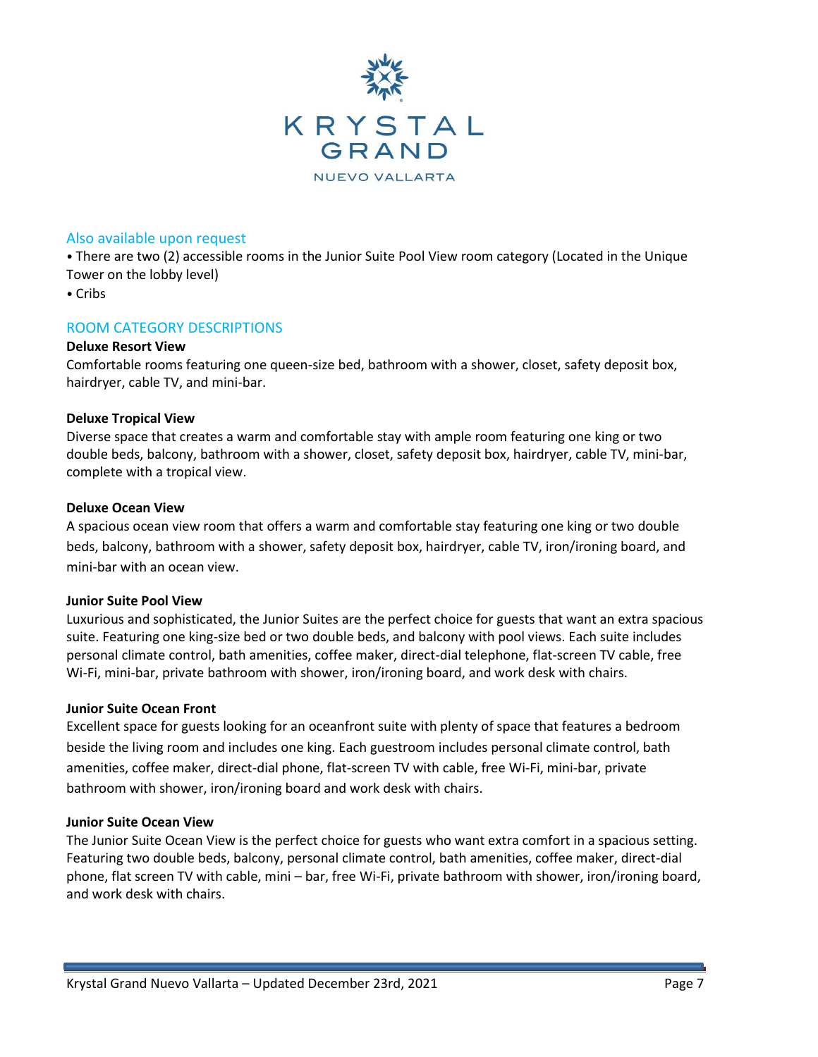

### Also available upon request

• There are two (2) accessible rooms in the Junior Suite Pool View room category (Located in the Unique Tower on the lobby level)

• Cribs

## ROOM CATEGORY DESCRIPTIONS

### **Deluxe Resort View**

Comfortable rooms featuring one queen-size bed, bathroom with a shower, closet, safety deposit box, hairdryer, cable TV, and mini-bar.

### **Deluxe Tropical View**

Diverse space that creates a warm and comfortable stay with ample room featuring one king or two double beds, balcony, bathroom with a shower, closet, safety deposit box, hairdryer, cable TV, mini-bar, complete with a tropical view.

### **Deluxe Ocean View**

A spacious ocean view room that offers a warm and comfortable stay featuring one king or two double beds, balcony, bathroom with a shower, safety deposit box, hairdryer, cable TV, iron/ironing board, and mini-bar with an ocean view.

### **Junior Suite Pool View**

Luxurious and sophisticated, the Junior Suites are the perfect choice for guests that want an extra spacious suite. Featuring one king-size bed or two double beds, and balcony with pool views. Each suite includes personal climate control, bath amenities, coffee maker, direct-dial telephone, flat-screen TV cable, free Wi-Fi, mini-bar, private bathroom with shower, iron/ironing board, and work desk with chairs.

### **Junior Suite Ocean Front**

Excellent space for guests looking for an oceanfront suite with plenty of space that features a bedroom beside the living room and includes one king. Each guestroom includes personal climate control, bath amenities, coffee maker, direct-dial phone, flat-screen TV with cable, free Wi-Fi, mini-bar, private bathroom with shower, iron/ironing board and work desk with chairs.

### **Junior Suite Ocean View**

The Junior Suite Ocean View is the perfect choice for guests who want extra comfort in a spacious setting. Featuring two double beds, balcony, personal climate control, bath amenities, coffee maker, direct-dial phone, flat screen TV with cable, mini – bar, free Wi-Fi, private bathroom with shower, iron/ironing board, and work desk with chairs.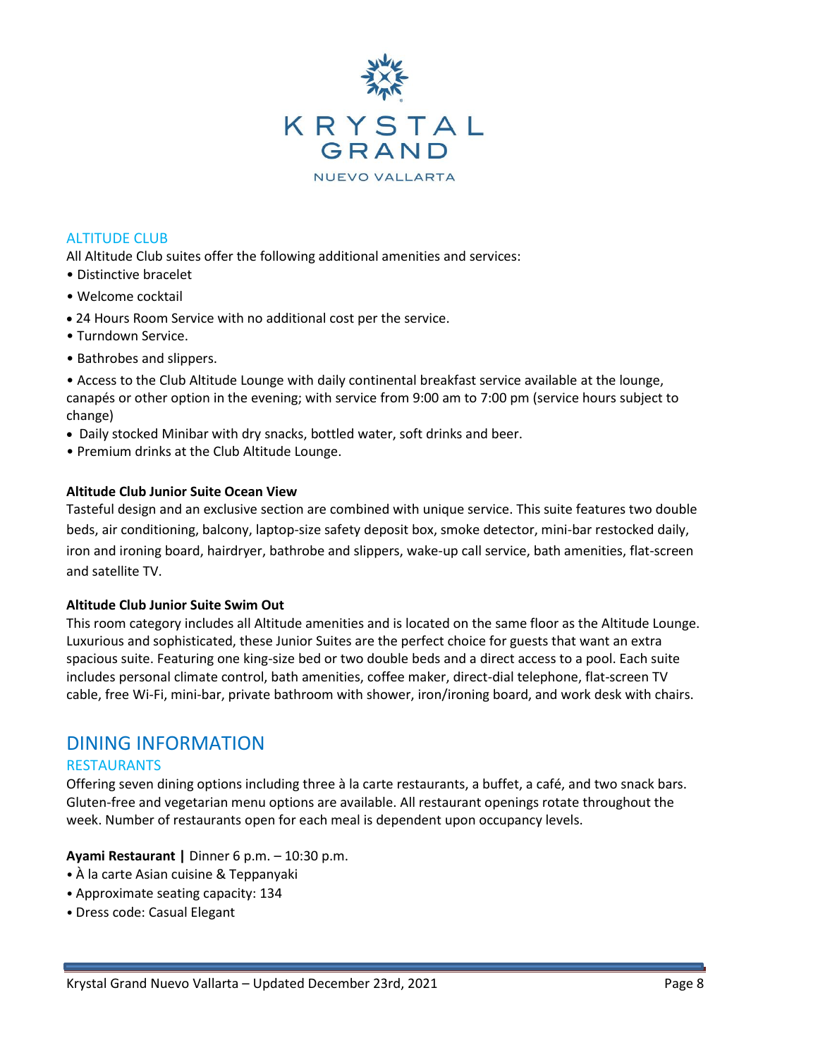

## ALTITUDE CLUB

All Altitude Club suites offer the following additional amenities and services:

- Distinctive bracelet
- Welcome cocktail
- 24 Hours Room Service with no additional cost per the service.
- Turndown Service.
- Bathrobes and slippers.

• Access to the Club Altitude Lounge with daily continental breakfast service available at the lounge, canapés or other option in the evening; with service from 9:00 am to 7:00 pm (service hours subject to change)

- Daily stocked Minibar with dry snacks, bottled water, soft drinks and beer.
- Premium drinks at the Club Altitude Lounge.

### **Altitude Club Junior Suite Ocean View**

Tasteful design and an exclusive section are combined with unique service. This suite features two double beds, air conditioning, balcony, laptop-size safety deposit box, smoke detector, mini-bar restocked daily, iron and ironing board, hairdryer, bathrobe and slippers, wake-up call service, bath amenities, flat-screen and satellite TV.

### **Altitude Club Junior Suite Swim Out**

This room category includes all Altitude amenities and is located on the same floor as the Altitude Lounge. Luxurious and sophisticated, these Junior Suites are the perfect choice for guests that want an extra spacious suite. Featuring one king-size bed or two double beds and a direct access to a pool. Each suite includes personal climate control, bath amenities, coffee maker, direct-dial telephone, flat-screen TV cable, free Wi-Fi, mini-bar, private bathroom with shower, iron/ironing board, and work desk with chairs.

# DINING INFORMATION

## RESTAURANTS

Offering seven dining options including three à la carte restaurants, a buffet, a café, and two snack bars. Gluten-free and vegetarian menu options are available. All restaurant openings rotate throughout the week. Number of restaurants open for each meal is dependent upon occupancy levels.

**Ayami Restaurant |** Dinner 6 p.m. – 10:30 p.m.

- À la carte Asian cuisine & Teppanyaki
- Approximate seating capacity: 134
- Dress code: Casual Elegant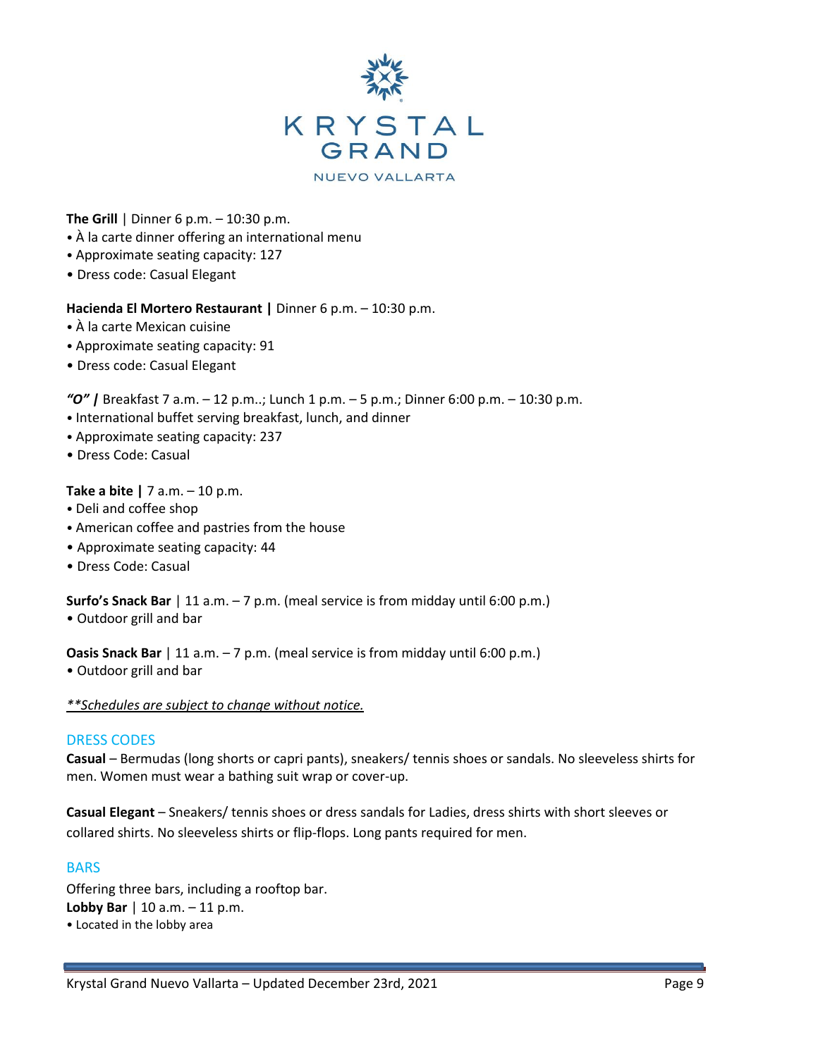

**The Grill** | Dinner 6 p.m. – 10:30 p.m.

- À la carte dinner offering an international menu
- Approximate seating capacity: 127
- Dress code: Casual Elegant

### **Hacienda El Mortero Restaurant |** Dinner 6 p.m. – 10:30 p.m.

- À la carte Mexican cuisine
- Approximate seating capacity: 91
- Dress code: Casual Elegant

*"O" |* Breakfast 7 a.m. – 12 p.m..; Lunch 1 p.m. – 5 p.m.; Dinner 6:00 p.m. – 10:30 p.m.

- International buffet serving breakfast, lunch, and dinner
- Approximate seating capacity: 237
- Dress Code: Casual

**Take a bite |** 7 a.m. – 10 p.m.

- Deli and coffee shop
- American coffee and pastries from the house
- Approximate seating capacity: 44
- Dress Code: Casual

**Surfo's Snack Bar** | 11 a.m. – 7 p.m. (meal service is from midday until 6:00 p.m.)

• Outdoor grill and bar

**Oasis Snack Bar** | 11 a.m. – 7 p.m. (meal service is from midday until 6:00 p.m.)

• Outdoor grill and bar

### *\*\*Schedules are subject to change without notice.*

### DRESS CODES

**Casual** – Bermudas (long shorts or capri pants), sneakers/ tennis shoes or sandals. No sleeveless shirts for men. Women must wear a bathing suit wrap or cover-up.

**Casual Elegant** – Sneakers/ tennis shoes or dress sandals for Ladies, dress shirts with short sleeves or collared shirts. No sleeveless shirts or flip-flops. Long pants required for men.

### **BARS**

Offering three bars, including a rooftop bar. **Lobby Bar** | 10 a.m. – 11 p.m. • Located in the lobby area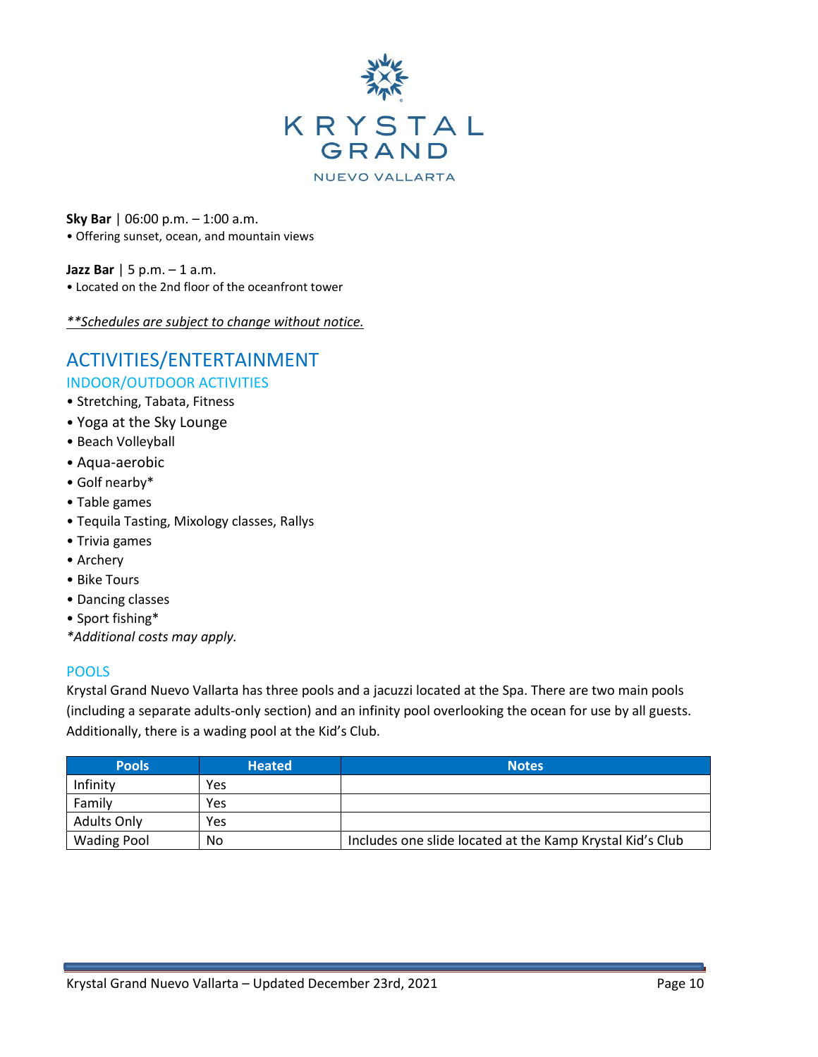

**Sky Bar** | 06:00 p.m. – 1:00 a.m. • Offering sunset, ocean, and mountain views

**Jazz Bar** | 5 p.m. – 1 a.m.

• Located on the 2nd floor of the oceanfront tower

*\*\*Schedules are subject to change without notice.*

# ACTIVITIES/ENTERTAINMENT

INDOOR/OUTDOOR ACTIVITIES

- Stretching, Tabata, Fitness
- Yoga at the Sky Lounge
- Beach Volleyball
- Aqua-aerobic
- Golf nearby\*
- Table games
- Tequila Tasting, Mixology classes, Rallys
- Trivia games
- Archery
- Bike Tours
- Dancing classes
- Sport fishing\*
- *\*Additional costs may apply.*

## POOLS

Krystal Grand Nuevo Vallarta has three pools and a jacuzzi located at the Spa. There are two main pools (including a separate adults-only section) and an infinity pool overlooking the ocean for use by all guests. Additionally, there is a wading pool at the Kid's Club.

| <b>Pools</b>       | <b>Heated</b> | <b>Notes</b>                                              |
|--------------------|---------------|-----------------------------------------------------------|
| Infinity           | Yes           |                                                           |
| Family             | Yes           |                                                           |
| <b>Adults Only</b> | Yes           |                                                           |
| <b>Wading Pool</b> | No            | Includes one slide located at the Kamp Krystal Kid's Club |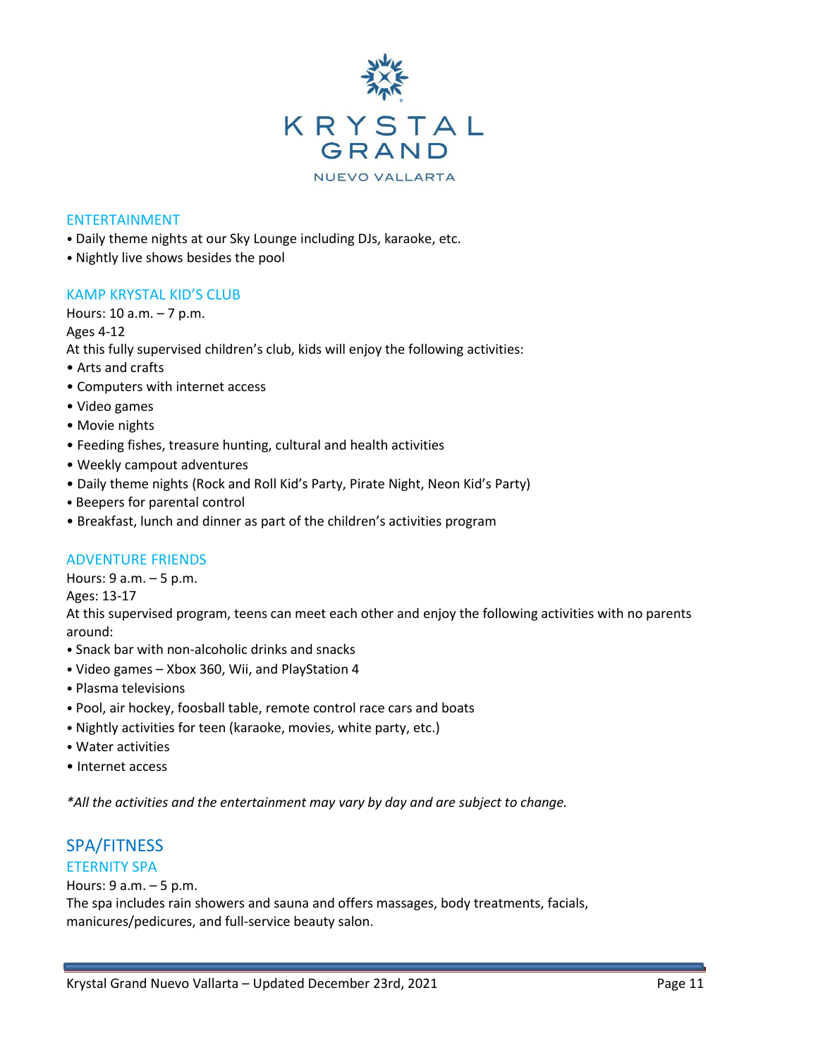

### ENTERTAINMENT

- Daily theme nights at our Sky Lounge including DJs, karaoke, etc.
- Nightly live shows besides the pool

### KAMP KRYSTAL KID'S CLUB

Hours: 10 a.m. – 7 p.m.

### Ages 4-12

- At this fully supervised children's club, kids will enjoy the following activities:
- Arts and crafts
- Computers with internet access
- Video games
- Movie nights
- Feeding fishes, treasure hunting, cultural and health activities
- Weekly campout adventures
- Daily theme nights (Rock and Roll Kid's Party, Pirate Night, Neon Kid's Party)
- Beepers for parental control
- Breakfast, lunch and dinner as part of the children's activities program

### ADVENTURE FRIENDS

Hours: 9 a.m. – 5 p.m.

Ages: 13-17

At this supervised program, teens can meet each other and enjoy the following activities with no parents around:

- Snack bar with non-alcoholic drinks and snacks
- Video games Xbox 360, Wii, and PlayStation 4
- Plasma televisions
- Pool, air hockey, foosball table, remote control race cars and boats
- Nightly activities for teen (karaoke, movies, white party, etc.)
- Water activities
- Internet access

*\*All the activities and the entertainment may vary by day and are subject to change.* 

# SPA/FITNESS ETERNITY SPA

Hours: 9 a.m. – 5 p.m.

The spa includes rain showers and sauna and offers massages, body treatments, facials, manicures/pedicures, and full-service beauty salon.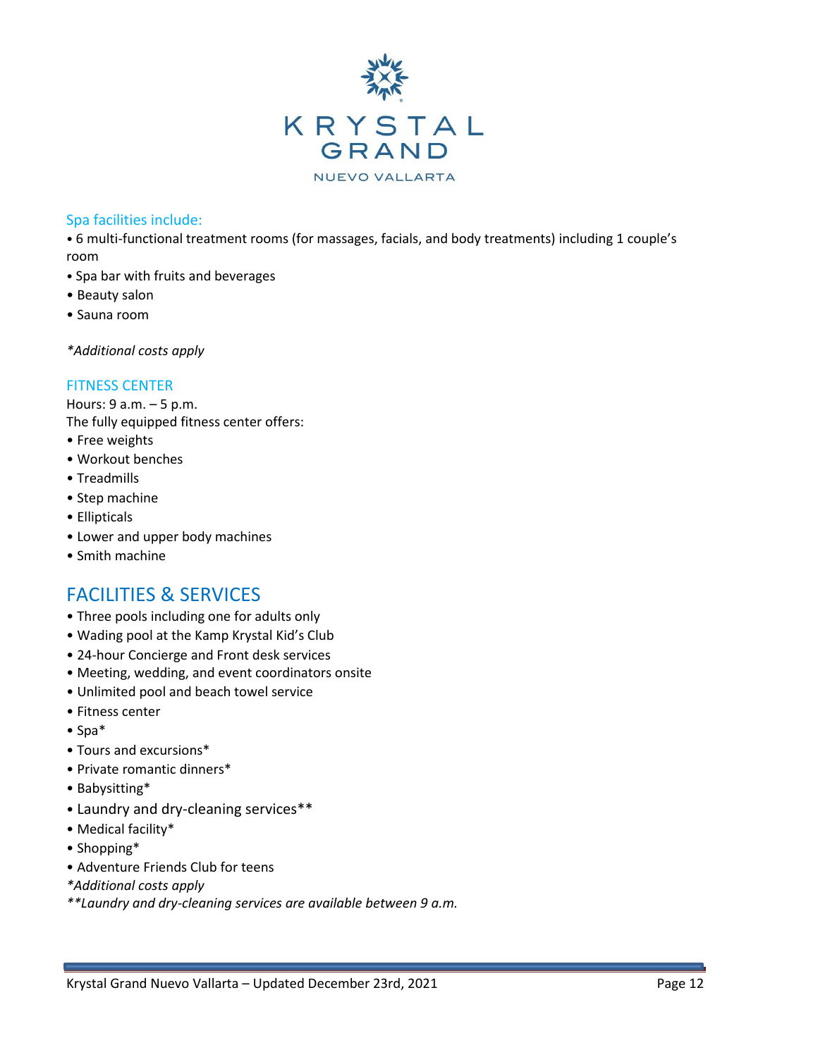

## Spa facilities include:

• 6 multi-functional treatment rooms (for massages, facials, and body treatments) including 1 couple's room

- Spa bar with fruits and beverages
- Beauty salon
- Sauna room

*\*Additional costs apply*

## FITNESS CENTER

Hours: 9 a.m. – 5 p.m. The fully equipped fitness center offers:

- Free weights
- Workout benches
- Treadmills
- Step machine
- Ellipticals
- Lower and upper body machines
- Smith machine

# FACILITIES & SERVICES

- Three pools including one for adults only
- Wading pool at the Kamp Krystal Kid's Club
- 24-hour Concierge and Front desk services
- Meeting, wedding, and event coordinators onsite
- Unlimited pool and beach towel service
- Fitness center
- Spa\*
- Tours and excursions\*
- Private romantic dinners\*
- Babysitting\*
- Laundry and dry-cleaning services\*\*
- Medical facility\*
- Shopping\*
- Adventure Friends Club for teens
- *\*Additional costs apply*
- *\*\*Laundry and dry-cleaning services are available between 9 a.m.*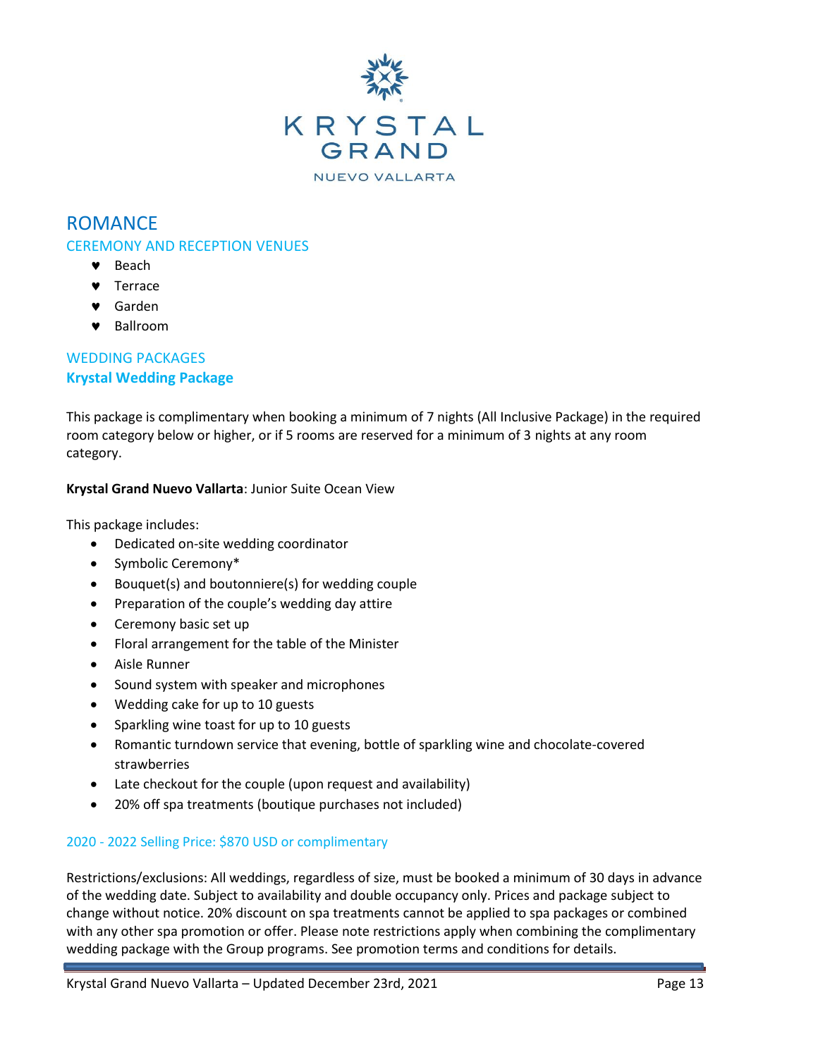

# ROMANCE CEREMONY AND RECEPTION VENUES

- **v** Beach
- **v** Terrace
- Garden
- Ballroom

# WEDDING PACKAGES **Krystal Wedding Package**

This package is complimentary when booking a minimum of 7 nights (All Inclusive Package) in the required room category below or higher, or if 5 rooms are reserved for a minimum of 3 nights at any room category.

# **Krystal Grand Nuevo Vallarta**: Junior Suite Ocean View

This package includes:

- Dedicated on-site wedding coordinator
- Symbolic Ceremony\*
- Bouquet(s) and boutonniere(s) for wedding couple
- Preparation of the couple's wedding day attire
- Ceremony basic set up
- Floral arrangement for the table of the Minister
- Aisle Runner
- Sound system with speaker and microphones
- Wedding cake for up to 10 guests
- Sparkling wine toast for up to 10 guests
- Romantic turndown service that evening, bottle of sparkling wine and chocolate-covered strawberries
- Late checkout for the couple (upon request and availability)
- 20% off spa treatments (boutique purchases not included)

## 2020 - 2022 Selling Price: \$870 USD or complimentary

Restrictions/exclusions: All weddings, regardless of size, must be booked a minimum of 30 days in advance of the wedding date. Subject to availability and double occupancy only. Prices and package subject to change without notice. 20% discount on spa treatments cannot be applied to spa packages or combined with any other spa promotion or offer. Please note restrictions apply when combining the complimentary wedding package with the Group programs. See promotion terms and conditions for details.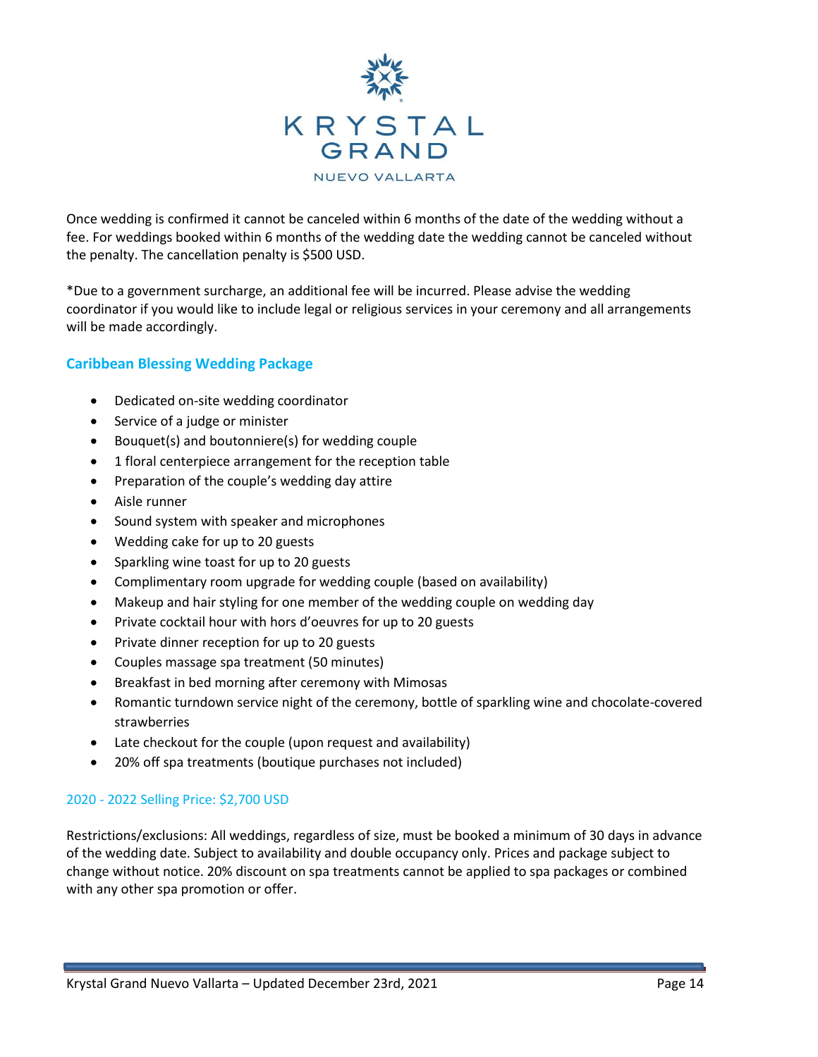

Once wedding is confirmed it cannot be canceled within 6 months of the date of the wedding without a fee. For weddings booked within 6 months of the wedding date the wedding cannot be canceled without the penalty. The cancellation penalty is \$500 USD.

\*Due to a government surcharge, an additional fee will be incurred. Please advise the wedding coordinator if you would like to include legal or religious services in your ceremony and all arrangements will be made accordingly.

# **Caribbean Blessing Wedding Package**

- Dedicated on-site wedding coordinator
- Service of a judge or minister
- Bouquet(s) and boutonniere(s) for wedding couple
- 1 floral centerpiece arrangement for the reception table
- Preparation of the couple's wedding day attire
- Aisle runner
- Sound system with speaker and microphones
- Wedding cake for up to 20 guests
- Sparkling wine toast for up to 20 guests
- Complimentary room upgrade for wedding couple (based on availability)
- Makeup and hair styling for one member of the wedding couple on wedding day
- Private cocktail hour with hors d'oeuvres for up to 20 guests
- Private dinner reception for up to 20 guests
- Couples massage spa treatment (50 minutes)
- Breakfast in bed morning after ceremony with Mimosas
- Romantic turndown service night of the ceremony, bottle of sparkling wine and chocolate-covered strawberries
- Late checkout for the couple (upon request and availability)
- 20% off spa treatments (boutique purchases not included)

## 2020 - 2022 Selling Price: \$2,700 USD

Restrictions/exclusions: All weddings, regardless of size, must be booked a minimum of 30 days in advance of the wedding date. Subject to availability and double occupancy only. Prices and package subject to change without notice. 20% discount on spa treatments cannot be applied to spa packages or combined with any other spa promotion or offer.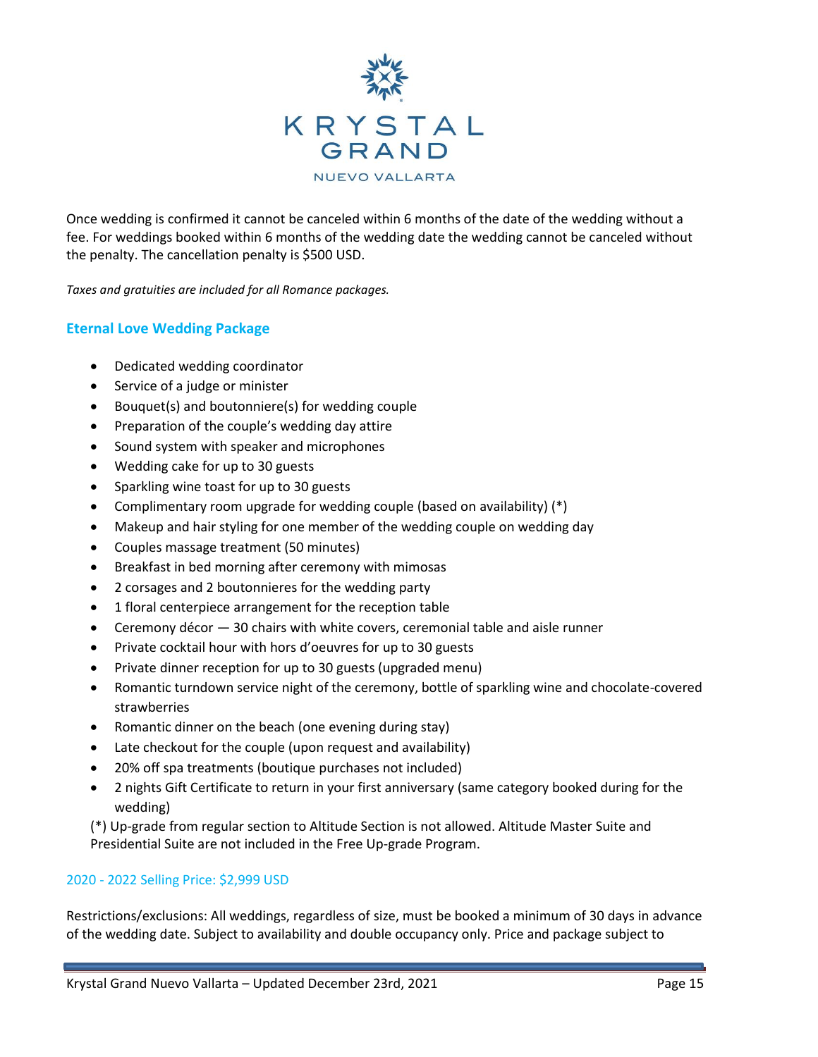

Once wedding is confirmed it cannot be canceled within 6 months of the date of the wedding without a fee. For weddings booked within 6 months of the wedding date the wedding cannot be canceled without the penalty. The cancellation penalty is \$500 USD.

*Taxes and gratuities are included for all Romance packages.* 

# **Eternal Love Wedding Package**

- Dedicated wedding coordinator
- Service of a judge or minister
- Bouquet(s) and boutonniere(s) for wedding couple
- Preparation of the couple's wedding day attire
- Sound system with speaker and microphones
- Wedding cake for up to 30 guests
- Sparkling wine toast for up to 30 guests
- Complimentary room upgrade for wedding couple (based on availability) (\*)
- Makeup and hair styling for one member of the wedding couple on wedding day
- Couples massage treatment (50 minutes)
- Breakfast in bed morning after ceremony with mimosas
- 2 corsages and 2 boutonnieres for the wedding party
- 1 floral centerpiece arrangement for the reception table
- Ceremony décor 30 chairs with white covers, ceremonial table and aisle runner
- Private cocktail hour with hors d'oeuvres for up to 30 guests
- Private dinner reception for up to 30 guests (upgraded menu)
- Romantic turndown service night of the ceremony, bottle of sparkling wine and chocolate-covered strawberries
- Romantic dinner on the beach (one evening during stay)
- Late checkout for the couple (upon request and availability)
- 20% off spa treatments (boutique purchases not included)
- 2 nights Gift Certificate to return in your first anniversary (same category booked during for the wedding)

(\*) Up-grade from regular section to Altitude Section is not allowed. Altitude Master Suite and Presidential Suite are not included in the Free Up-grade Program.

## 2020 - 2022 Selling Price: \$2,999 USD

Restrictions/exclusions: All weddings, regardless of size, must be booked a minimum of 30 days in advance of the wedding date. Subject to availability and double occupancy only. Price and package subject to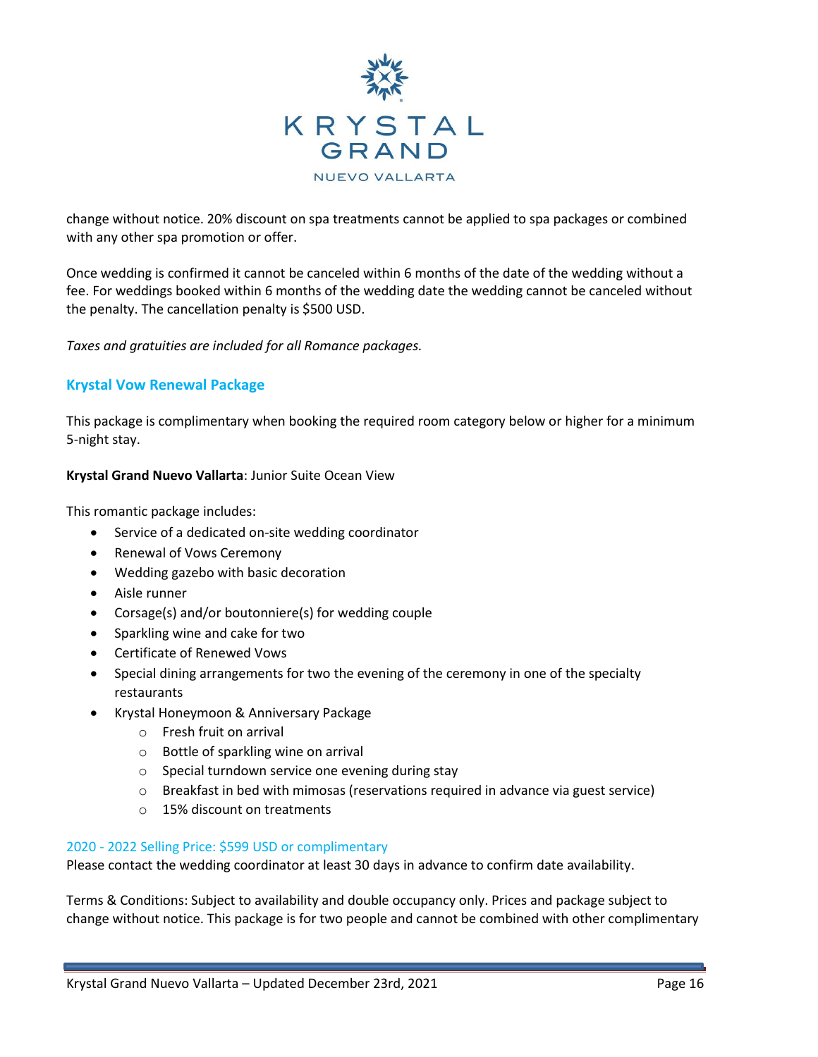

change without notice. 20% discount on spa treatments cannot be applied to spa packages or combined with any other spa promotion or offer.

Once wedding is confirmed it cannot be canceled within 6 months of the date of the wedding without a fee. For weddings booked within 6 months of the wedding date the wedding cannot be canceled without the penalty. The cancellation penalty is \$500 USD.

*Taxes and gratuities are included for all Romance packages.* 

# **Krystal Vow Renewal Package**

This package is complimentary when booking the required room category below or higher for a minimum 5-night stay.

**Krystal Grand Nuevo Vallarta**: Junior Suite Ocean View

This romantic package includes:

- Service of a dedicated on-site wedding coordinator
- Renewal of Vows Ceremony
- Wedding gazebo with basic decoration
- Aisle runner
- Corsage(s) and/or boutonniere(s) for wedding couple
- Sparkling wine and cake for two
- Certificate of Renewed Vows
- Special dining arrangements for two the evening of the ceremony in one of the specialty restaurants
- Krystal Honeymoon & Anniversary Package
	- o Fresh fruit on arrival
	- o Bottle of sparkling wine on arrival
	- o Special turndown service one evening during stay
	- $\circ$  Breakfast in bed with mimosas (reservations required in advance via guest service)
	- o 15% discount on treatments

### 2020 - 2022 Selling Price: \$599 USD or complimentary

Please contact the wedding coordinator at least 30 days in advance to confirm date availability.

Terms & Conditions: Subject to availability and double occupancy only. Prices and package subject to change without notice. This package is for two people and cannot be combined with other complimentary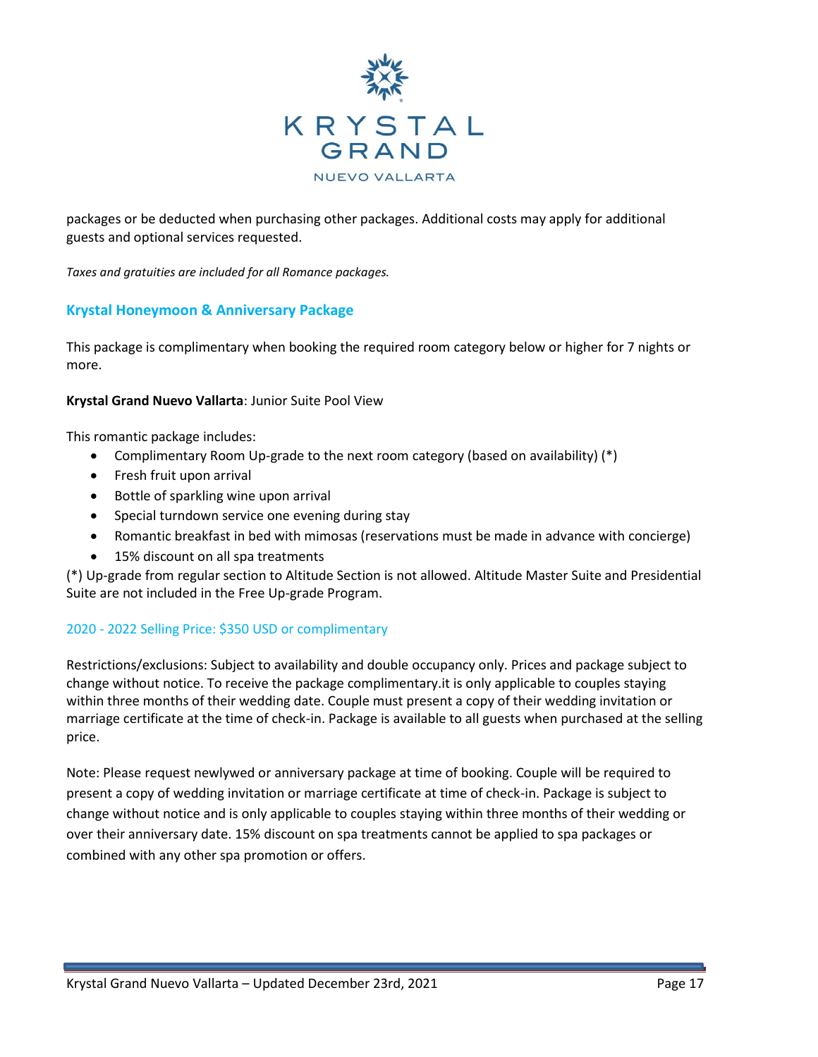

packages or be deducted when purchasing other packages. Additional costs may apply for additional guests and optional services requested.

*Taxes and gratuities are included for all Romance packages.* 

# **Krystal Honeymoon & Anniversary Package**

This package is complimentary when booking the required room category below or higher for 7 nights or more.

### **Krystal Grand Nuevo Vallarta**: Junior Suite Pool View

This romantic package includes:

- Complimentary Room Up-grade to the next room category (based on availability) (\*)
- Fresh fruit upon arrival
- Bottle of sparkling wine upon arrival
- Special turndown service one evening during stay
- Romantic breakfast in bed with mimosas (reservations must be made in advance with concierge)
- 15% discount on all spa treatments

(\*) Up-grade from regular section to Altitude Section is not allowed. Altitude Master Suite and Presidential Suite are not included in the Free Up-grade Program.

## 2020 - 2022 Selling Price: \$350 USD or complimentary

Restrictions/exclusions: Subject to availability and double occupancy only. Prices and package subject to change without notice. To receive the package complimentary.it is only applicable to couples staying within three months of their wedding date. Couple must present a copy of their wedding invitation or marriage certificate at the time of check-in. Package is available to all guests when purchased at the selling price.

Note: Please request newlywed or anniversary package at time of booking. Couple will be required to present a copy of wedding invitation or marriage certificate at time of check-in. Package is subject to change without notice and is only applicable to couples staying within three months of their wedding or over their anniversary date. 15% discount on spa treatments cannot be applied to spa packages or combined with any other spa promotion or offers.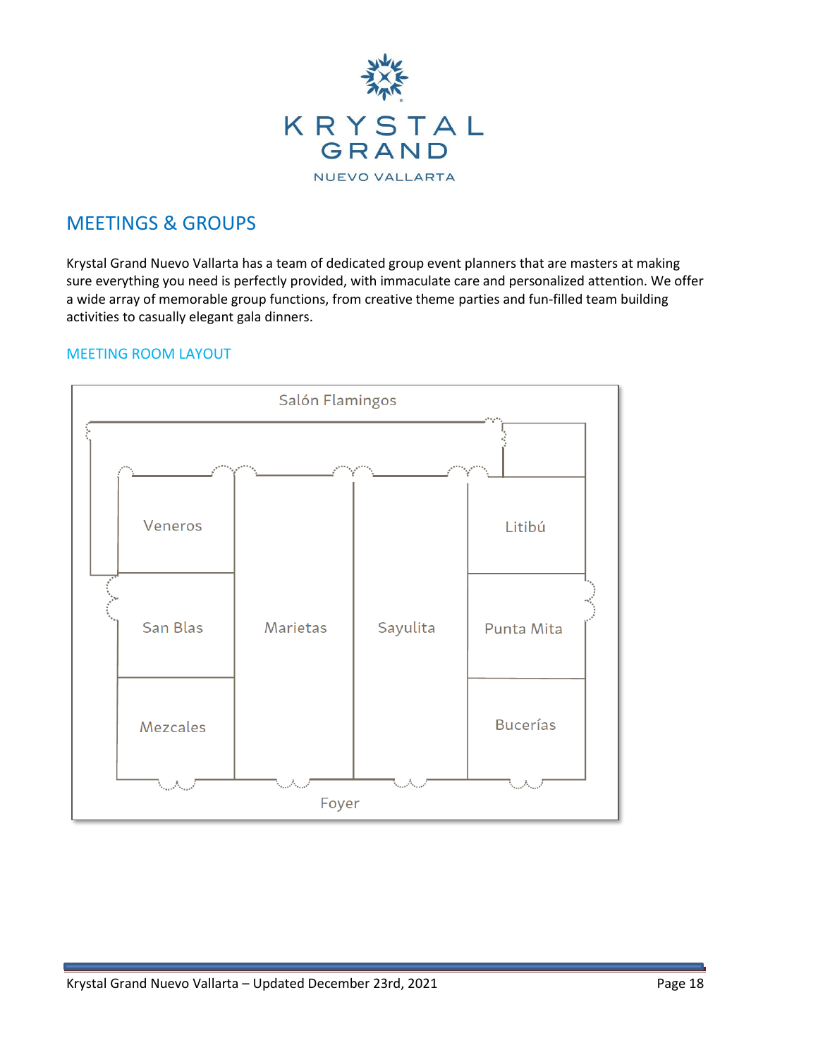

# MEETINGS & GROUPS

Krystal Grand Nuevo Vallarta has a team of dedicated group event planners that are masters at making sure everything you need is perfectly provided, with immaculate care and personalized attention. We offer a wide array of memorable group functions, from creative theme parties and fun-filled team building activities to casually elegant gala dinners.

## MEETING ROOM LAYOUT

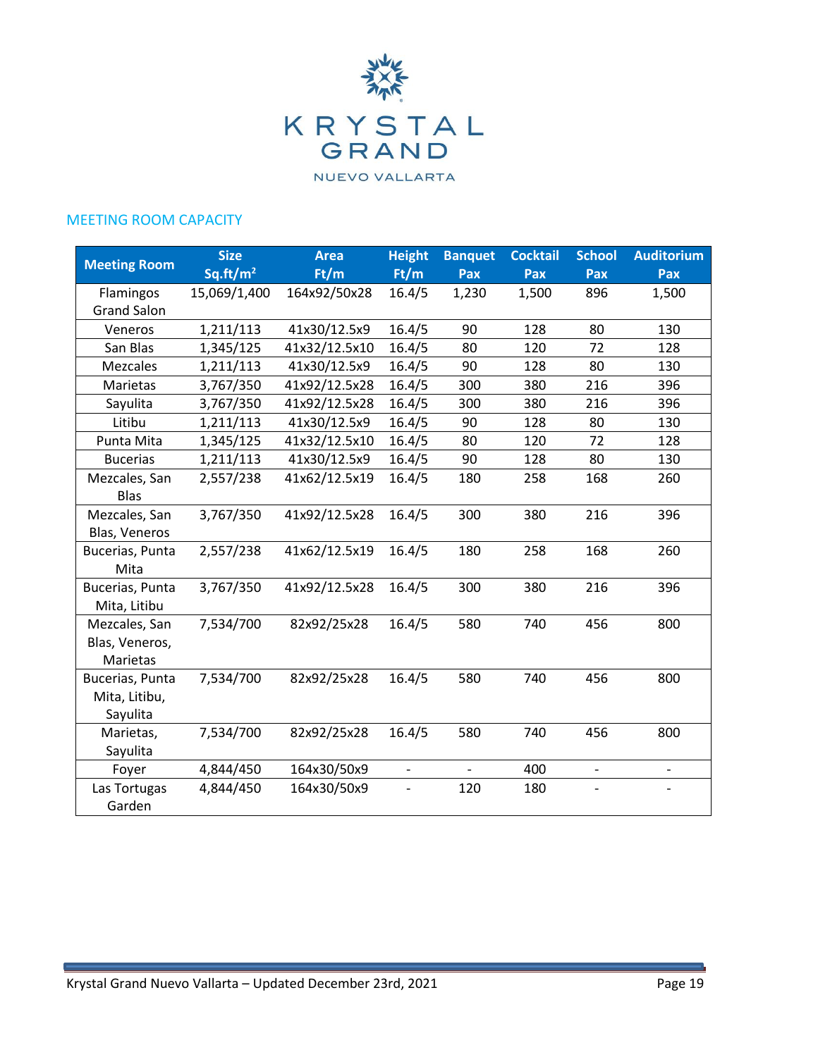

# MEETING ROOM CAPACITY

|                     | <b>Size</b>          | <b>Area</b>   | <b>Height</b>  | <b>Banquet</b> | <b>Cocktail</b> | <b>School</b>            | <b>Auditorium</b> |
|---------------------|----------------------|---------------|----------------|----------------|-----------------|--------------------------|-------------------|
| <b>Meeting Room</b> | Sq.ft/m <sup>2</sup> | Ft/m          | Ft/m           | Pax            | Pax             | Pax                      | Pax               |
| Flamingos           | 15,069/1,400         | 164x92/50x28  | 16.4/5         | 1,230          | 1,500           | 896                      | 1,500             |
| <b>Grand Salon</b>  |                      |               |                |                |                 |                          |                   |
| Veneros             | 1,211/113            | 41x30/12.5x9  | 16.4/5         | 90             | 128             | 80                       | 130               |
| San Blas            | 1,345/125            | 41x32/12.5x10 | 16.4/5         | 80             | 120             | 72                       | 128               |
| <b>Mezcales</b>     | 1,211/113            | 41x30/12.5x9  | 16.4/5         | 90             | 128             | 80                       | 130               |
| Marietas            | 3,767/350            | 41x92/12.5x28 | 16.4/5         | 300            | 380             | 216                      | 396               |
| Sayulita            | 3,767/350            | 41x92/12.5x28 | 16.4/5         | 300            | 380             | 216                      | 396               |
| Litibu              | 1,211/113            | 41x30/12.5x9  | 16.4/5         | 90             | 128             | 80                       | 130               |
| Punta Mita          | 1,345/125            | 41x32/12.5x10 | 16.4/5         | 80             | 120             | 72                       | 128               |
| <b>Bucerias</b>     | 1,211/113            | 41x30/12.5x9  | 16.4/5         | 90             | 128             | 80                       | 130               |
| Mezcales, San       | 2,557/238            | 41x62/12.5x19 | 16.4/5         | 180            | 258             | 168                      | 260               |
| <b>Blas</b>         |                      |               |                |                |                 |                          |                   |
| Mezcales, San       | 3,767/350            | 41x92/12.5x28 | 16.4/5         | 300            | 380             | 216                      | 396               |
| Blas, Veneros       |                      |               |                |                |                 |                          |                   |
| Bucerias, Punta     | 2,557/238            | 41x62/12.5x19 | 16.4/5         | 180            | 258             | 168                      | 260               |
| Mita                |                      |               |                |                |                 |                          |                   |
| Bucerias, Punta     | 3,767/350            | 41x92/12.5x28 | 16.4/5         | 300            | 380             | 216                      | 396               |
| Mita, Litibu        |                      |               |                |                |                 |                          |                   |
| Mezcales, San       | 7,534/700            | 82x92/25x28   | 16.4/5         | 580            | 740             | 456                      | 800               |
| Blas, Veneros,      |                      |               |                |                |                 |                          |                   |
| Marietas            |                      |               |                |                |                 |                          |                   |
| Bucerias, Punta     | 7,534/700            | 82x92/25x28   | 16.4/5         | 580            | 740             | 456                      | 800               |
| Mita, Litibu,       |                      |               |                |                |                 |                          |                   |
| Sayulita            |                      |               |                |                |                 |                          |                   |
| Marietas,           | 7,534/700            | 82x92/25x28   | 16.4/5         | 580            | 740             | 456                      | 800               |
| Sayulita            |                      |               |                |                |                 |                          |                   |
| Foyer               | 4,844/450            | 164x30/50x9   | $\overline{a}$ | $\overline{a}$ | 400             | $\overline{\phantom{a}}$ |                   |
| Las Tortugas        | 4,844/450            | 164x30/50x9   |                | 120            | 180             |                          |                   |
| Garden              |                      |               |                |                |                 |                          |                   |